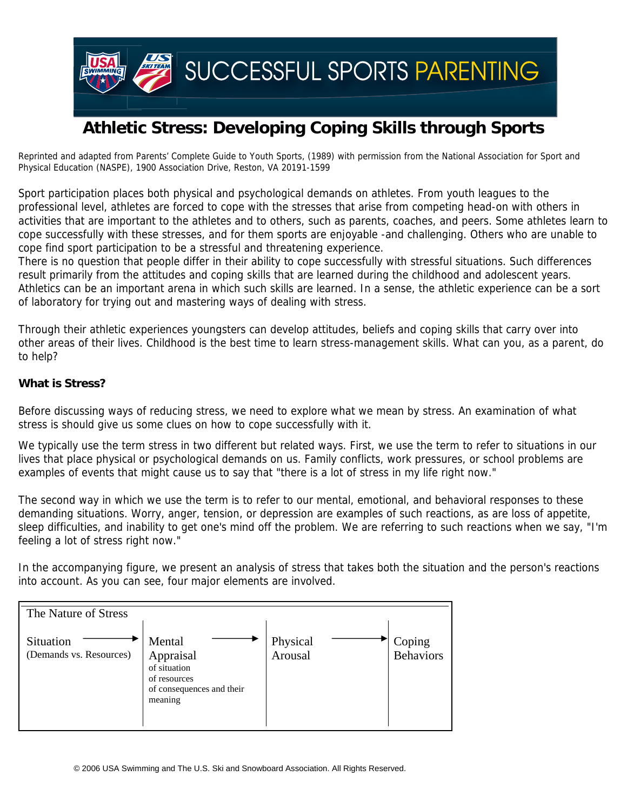

# **Athletic Stress: Developing Coping Skills through Sports**

Reprinted and adapted from Parents' Complete Guide to Youth Sports, (1989) with permission from the National Association for Sport and Physical Education (NASPE), 1900 Association Drive, Reston, VA 20191-1599

Sport participation places both physical and psychological demands on athletes. From youth leagues to the professional level, athletes are forced to cope with the stresses that arise from competing head-on with others in activities that are important to the athletes and to others, such as parents, coaches, and peers. Some athletes learn to cope successfully with these stresses, and for them sports are enjoyable -and challenging. Others who are unable to cope find sport participation to be a stressful and threatening experience.

There is no question that people differ in their ability to cope successfully with stressful situations. Such differences result primarily from the attitudes and coping skills that are learned during the childhood and adolescent years. Athletics can be an important arena in which such skills are learned. In a sense, the athletic experience can be a sort of laboratory for trying out and mastering ways of dealing with stress.

Through their athletic experiences youngsters can develop attitudes, beliefs and coping skills that carry over into other areas of their lives. Childhood is the best time to learn stress-management skills. What can you, as a parent, do to help?

#### **What is Stress?**

Before discussing ways of reducing stress, we need to explore what we mean by stress. An examination of what stress is should give us some clues on how to cope successfully with it.

We typically use the term stress in two different but related ways. First, we use the term to refer to situations in our lives that place physical or psychological demands on us. Family conflicts, work pressures, or school problems are examples of events that might cause us to say that "there is a lot of stress in my life right now."

The second way in which we use the term is to refer to our mental, emotional, and behavioral responses to these demanding situations. Worry, anger, tension, or depression are examples of such reactions, as are loss of appetite, sleep difficulties, and inability to get one's mind off the problem. We are referring to such reactions when we say, "I'm feeling a lot of stress right now."

In the accompanying figure, we present an analysis of stress that takes both the situation and the person's reactions into account. As you can see, four major elements are involved.

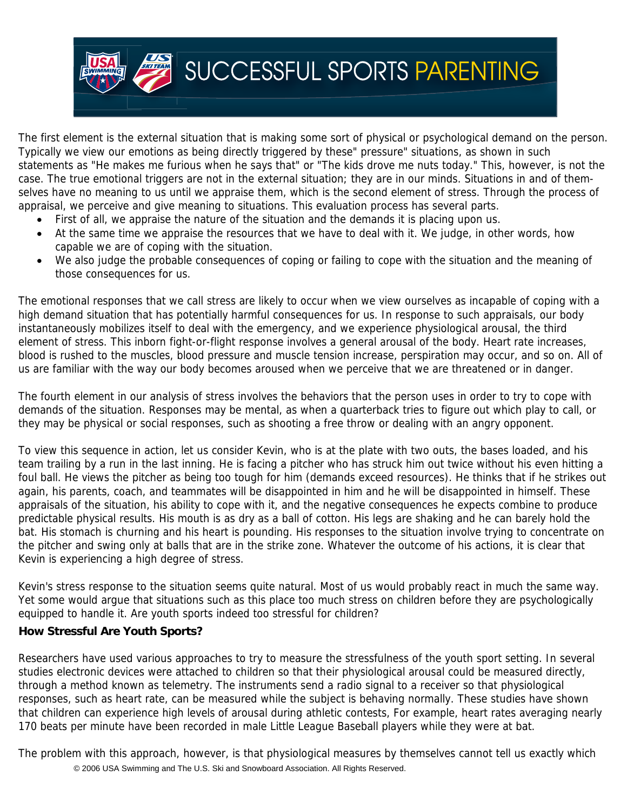

The first element is the external situation that is making some sort of physical or psychological demand on the person. Typically we view our emotions as being directly triggered by these" pressure" situations, as shown in such statements as "He makes me furious when he says that" or "The kids drove me nuts today." This, however, is not the case. The true emotional triggers are not in the external situation; they are in our minds. Situations in and of themselves have no meaning to us until we appraise them, which is the second element of stress. Through the process of appraisal, we perceive and give meaning to situations. This evaluation process has several parts.

- First of all, we appraise the nature of the situation and the demands it is placing upon us.
- At the same time we appraise the resources that we have to deal with it. We judge, in other words, how capable we are of coping with the situation.
- We also judge the probable consequences of coping or failing to cope with the situation and the meaning of those consequences for us.

The emotional responses that we call stress are likely to occur when we view ourselves as incapable of coping with a high demand situation that has potentially harmful consequences for us. In response to such appraisals, our body instantaneously mobilizes itself to deal with the emergency, and we experience physiological arousal, the third element of stress. This inborn fight-or-flight response involves a general arousal of the body. Heart rate increases, blood is rushed to the muscles, blood pressure and muscle tension increase, perspiration may occur, and so on. All of us are familiar with the way our body becomes aroused when we perceive that we are threatened or in danger.

The fourth element in our analysis of stress involves the behaviors that the person uses in order to try to cope with demands of the situation. Responses may be mental, as when a quarterback tries to figure out which play to call, or they may be physical or social responses, such as shooting a free throw or dealing with an angry opponent.

To view this sequence in action, let us consider Kevin, who is at the plate with two outs, the bases loaded, and his team trailing by a run in the last inning. He is facing a pitcher who has struck him out twice without his even hitting a foul ball. He views the pitcher as being too tough for him (demands exceed resources). He thinks that if he strikes out again, his parents, coach, and teammates will be disappointed in him and he will be disappointed in himself. These appraisals of the situation, his ability to cope with it, and the negative consequences he expects combine to produce predictable physical results. His mouth is as dry as a ball of cotton. His legs are shaking and he can barely hold the bat. His stomach is churning and his heart is pounding. His responses to the situation involve trying to concentrate on the pitcher and swing only at balls that are in the strike zone. Whatever the outcome of his actions, it is clear that Kevin is experiencing a high degree of stress.

Kevin's stress response to the situation seems quite natural. Most of us would probably react in much the same way. Yet some would argue that situations such as this place too much stress on children before they are psychologically equipped to handle it. Are youth sports indeed too stressful for children?

## **How Stressful Are Youth Sports?**

Researchers have used various approaches to try to measure the stressfulness of the youth sport setting. In several studies electronic devices were attached to children so that their physiological arousal could be measured directly, through a method known as telemetry. The instruments send a radio signal to a receiver so that physiological responses, such as heart rate, can be measured while the subject is behaving normally. These studies have shown that children can experience high levels of arousal during athletic contests, For example, heart rates averaging nearly 170 beats per minute have been recorded in male Little League Baseball players while they were at bat.

© 2006 USA Swimming and The U.S. Ski and Snowboard Association. All Rights Reserved. The problem with this approach, however, is that physiological measures by themselves cannot tell us exactly which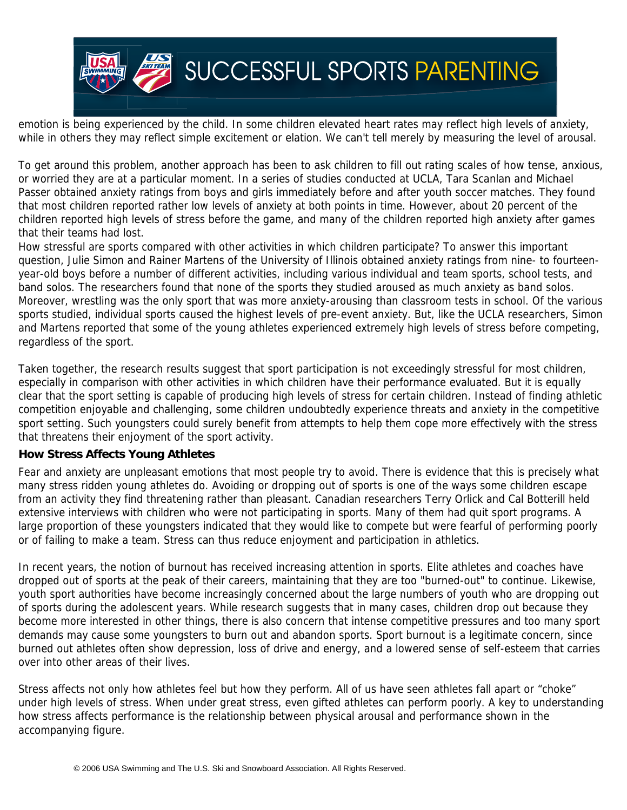

emotion is being experienced by the child. In some children elevated heart rates may reflect high levels of anxiety, while in others they may reflect simple excitement or elation. We can't tell merely by measuring the level of arousal.

To get around this problem, another approach has been to ask children to fill out rating scales of how tense, anxious, or worried they are at a particular moment. In a series of studies conducted at UCLA, Tara Scanlan and Michael Passer obtained anxiety ratings from boys and girls immediately before and after youth soccer matches. They found that most children reported rather low levels of anxiety at both points in time. However, about 20 percent of the children reported high levels of stress before the game, and many of the children reported high anxiety after games that their teams had lost.

How stressful are sports compared with other activities in which children participate? To answer this important question, Julie Simon and Rainer Martens of the University of Illinois obtained anxiety ratings from nine- to fourteenyear-old boys before a number of different activities, including various individual and team sports, school tests, and band solos. The researchers found that none of the sports they studied aroused as much anxiety as band solos. Moreover, wrestling was the only sport that was more anxiety-arousing than classroom tests in school. Of the various sports studied, individual sports caused the highest levels of pre-event anxiety. But, like the UCLA researchers, Simon and Martens reported that some of the young athletes experienced extremely high levels of stress before competing, regardless of the sport.

Taken together, the research results suggest that sport participation is not exceedingly stressful for most children, especially in comparison with other activities in which children have their performance evaluated. But it is equally clear that the sport setting is capable of producing high levels of stress for certain children. Instead of finding athletic competition enjoyable and challenging, some children undoubtedly experience threats and anxiety in the competitive sport setting. Such youngsters could surely benefit from attempts to help them cope more effectively with the stress that threatens their enjoyment of the sport activity.

## **How Stress Affects Young Athletes**

Fear and anxiety are unpleasant emotions that most people try to avoid. There is evidence that this is precisely what many stress ridden young athletes do. Avoiding or dropping out of sports is one of the ways some children escape from an activity they find threatening rather than pleasant. Canadian researchers Terry Orlick and Cal Botterill held extensive interviews with children who were not participating in sports. Many of them had quit sport programs. A large proportion of these youngsters indicated that they would like to compete but were fearful of performing poorly or of failing to make a team. Stress can thus reduce enjoyment and participation in athletics.

In recent years, the notion of burnout has received increasing attention in sports. Elite athletes and coaches have dropped out of sports at the peak of their careers, maintaining that they are too "burned-out" to continue. Likewise, youth sport authorities have become increasingly concerned about the large numbers of youth who are dropping out of sports during the adolescent years. While research suggests that in many cases, children drop out because they become more interested in other things, there is also concern that intense competitive pressures and too many sport demands may cause some youngsters to burn out and abandon sports. Sport burnout is a legitimate concern, since burned out athletes often show depression, loss of drive and energy, and a lowered sense of self-esteem that carries over into other areas of their lives.

Stress affects not only how athletes feel but how they perform. All of us have seen athletes fall apart or "choke" under high levels of stress. When under great stress, even gifted athletes can perform poorly. A key to understanding how stress affects performance is the relationship between physical arousal and performance shown in the accompanying figure.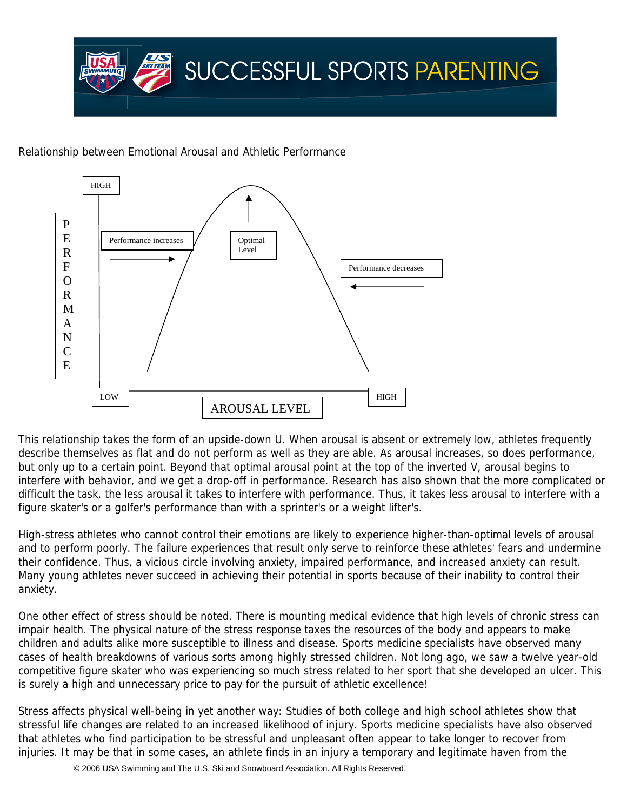

Relationship between Emotional Arousal and Athletic Performance



This relationship takes the form of an upside-down U. When arousal is absent or extremely low, athletes frequently describe themselves as flat and do not perform as well as they are able. As arousal increases, so does performance, but only up to a certain point. Beyond that optimal arousal point at the top of the inverted V, arousal begins to interfere with behavior, and we get a drop-off in performance. Research has also shown that the more complicated or difficult the task, the less arousal it takes to interfere with performance. Thus, it takes less arousal to interfere with a figure skater's or a golfer's performance than with a sprinter's or a weight lifter's.

High-stress athletes who cannot control their emotions are likely to experience higher-than-optimal levels of arousal and to perform poorly. The failure experiences that result only serve to reinforce these athletes' fears and undermine their confidence. Thus, a vicious circle involving anxiety, impaired performance, and increased anxiety can result. Many young athletes never succeed in achieving their potential in sports because of their inability to control their anxiety.

One other effect of stress should be noted. There is mounting medical evidence that high levels of chronic stress can impair health. The physical nature of the stress response taxes the resources of the body and appears to make children and adults alike more susceptible to illness and disease. Sports medicine specialists have observed many cases of health breakdowns of various sorts among highly stressed children. Not long ago, we saw a twelve year-old competitive figure skater who was experiencing so much stress related to her sport that she developed an ulcer. This is surely a high and unnecessary price to pay for the pursuit of athletic excellence!

Stress affects physical well-being in yet another way: Studies of both college and high school athletes show that stressful life changes are related to an increased likelihood of injury. Sports medicine specialists have also observed that athletes who find participation to be stressful and unpleasant often appear to take longer to recover from injuries. It may be that in some cases, an athlete finds in an injury a temporary and legitimate haven from the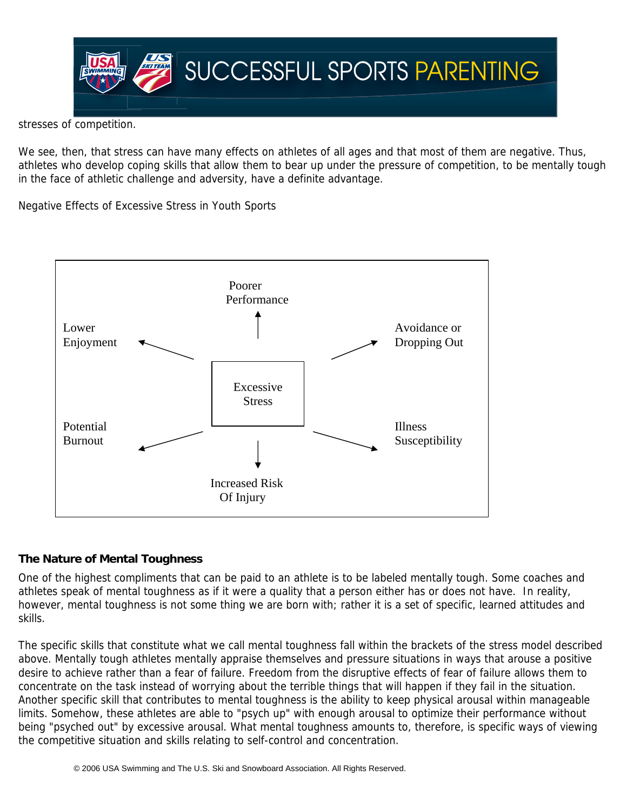

stresses of competition.

We see, then, that stress can have many effects on athletes of all ages and that most of them are negative. Thus, athletes who develop coping skills that allow them to bear up under the pressure of competition, to be mentally tough in the face of athletic challenge and adversity, have a definite advantage.

Negative Effects of Excessive Stress in Youth Sports



## **The Nature of Mental Toughness**

One of the highest compliments that can be paid to an athlete is to be labeled mentally tough. Some coaches and athletes speak of mental toughness as if it were a quality that a person either has or does not have. In reality, however, mental toughness is not some thing we are born with; rather it is a set of specific, learned attitudes and skills.

The specific skills that constitute what we call mental toughness fall within the brackets of the stress model described above. Mentally tough athletes mentally appraise themselves and pressure situations in ways that arouse a positive desire to achieve rather than a fear of failure. Freedom from the disruptive effects of fear of failure allows them to concentrate on the task instead of worrying about the terrible things that will happen if they fail in the situation. Another specific skill that contributes to mental toughness is the ability to keep physical arousal within manageable limits. Somehow, these athletes are able to "psych up" with enough arousal to optimize their performance without being "psyched out" by excessive arousal. What mental toughness amounts to, therefore, is specific ways of viewing the competitive situation and skills relating to self-control and concentration.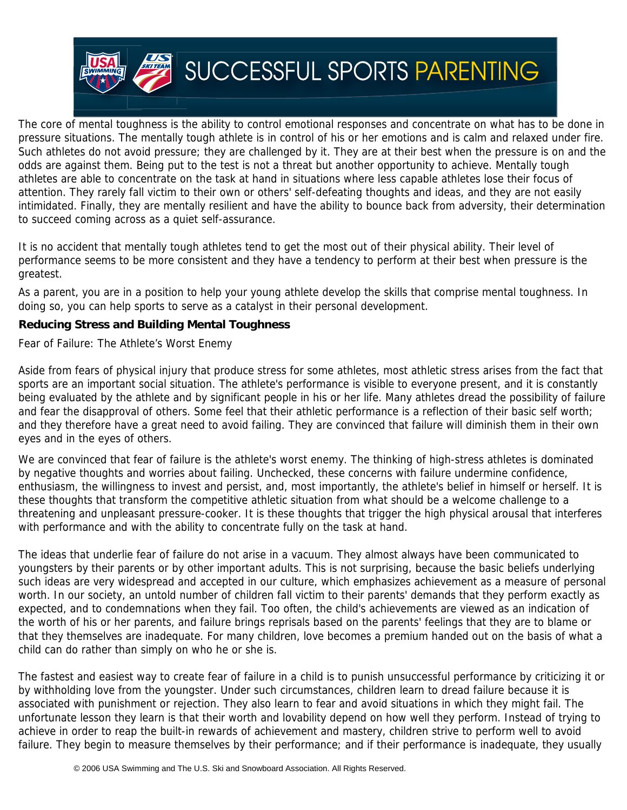

The core of mental toughness is the ability to control emotional responses and concentrate on what has to be done in pressure situations. The mentally tough athlete is in control of his or her emotions and is calm and relaxed under fire. Such athletes do not avoid pressure; they are challenged by it. They are at their best when the pressure is on and the odds are against them. Being put to the test is not a threat but another opportunity to achieve. Mentally tough athletes are able to concentrate on the task at hand in situations where less capable athletes lose their focus of attention. They rarely fall victim to their own or others' self-defeating thoughts and ideas, and they are not easily intimidated. Finally, they are mentally resilient and have the ability to bounce back from adversity, their determination to succeed coming across as a quiet self-assurance.

It is no accident that mentally tough athletes tend to get the most out of their physical ability. Their level of performance seems to be more consistent and they have a tendency to perform at their best when pressure is the greatest.

As a parent, you are in a position to help your young athlete develop the skills that comprise mental toughness. In doing so, you can help sports to serve as a catalyst in their personal development.

## **Reducing Stress and Building Mental Toughness**

Fear of Failure: The Athlete's Worst Enemy

Aside from fears of physical injury that produce stress for some athletes, most athletic stress arises from the fact that sports are an important social situation. The athlete's performance is visible to everyone present, and it is constantly being evaluated by the athlete and by significant people in his or her life. Many athletes dread the possibility of failure and fear the disapproval of others. Some feel that their athletic performance is a reflection of their basic self worth; and they therefore have a great need to avoid failing. They are convinced that failure will diminish them in their own eyes and in the eyes of others.

We are convinced that fear of failure is the athlete's worst enemy. The thinking of high-stress athletes is dominated by negative thoughts and worries about failing. Unchecked, these concerns with failure undermine confidence, enthusiasm, the willingness to invest and persist, and, most importantly, the athlete's belief in himself or herself. It is these thoughts that transform the competitive athletic situation from what should be a welcome challenge to a threatening and unpleasant pressure-cooker. It is these thoughts that trigger the high physical arousal that interferes with performance and with the ability to concentrate fully on the task at hand.

The ideas that underlie fear of failure do not arise in a vacuum. They almost always have been communicated to youngsters by their parents or by other important adults. This is not surprising, because the basic beliefs underlying such ideas are very widespread and accepted in our culture, which emphasizes achievement as a measure of personal worth. In our society, an untold number of children fall victim to their parents' demands that they perform exactly as expected, and to condemnations when they fail. Too often, the child's achievements are viewed as an indication of the worth of his or her parents, and failure brings reprisals based on the parents' feelings that they are to blame or that they themselves are inadequate. For many children, love becomes a premium handed out on the basis of what a child can do rather than simply on who he or she is.

The fastest and easiest way to create fear of failure in a child is to punish unsuccessful performance by criticizing it or by withholding love from the youngster. Under such circumstances, children learn to dread failure because it is associated with punishment or rejection. They also learn to fear and avoid situations in which they might fail. The unfortunate lesson they learn is that their worth and lovability depend on how well they perform. Instead of trying to achieve in order to reap the built-in rewards of achievement and mastery, children strive to perform well to avoid failure. They begin to measure themselves by their performance; and if their performance is inadequate, they usually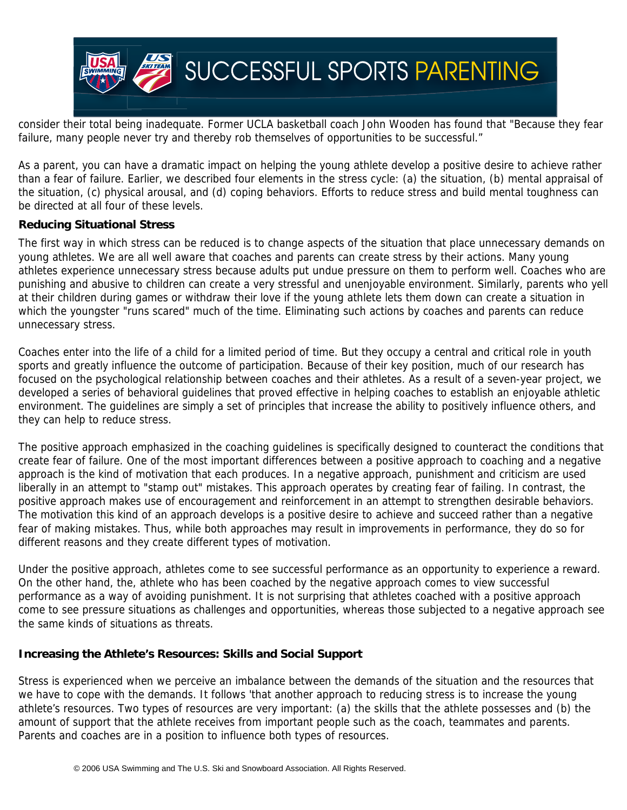

consider their total being inadequate. Former UCLA basketball coach John Wooden has found that "Because they fear failure, many people never try and thereby rob themselves of opportunities to be successful."

As a parent, you can have a dramatic impact on helping the young athlete develop a positive desire to achieve rather than a fear of failure. Earlier, we described four elements in the stress cycle: (a) the situation, (b) mental appraisal of the situation, (c) physical arousal, and (d) coping behaviors. Efforts to reduce stress and build mental toughness can be directed at all four of these levels.

## **Reducing Situational Stress**

The first way in which stress can be reduced is to change aspects of the situation that place unnecessary demands on young athletes. We are all well aware that coaches and parents can create stress by their actions. Many young athletes experience unnecessary stress because adults put undue pressure on them to perform well. Coaches who are punishing and abusive to children can create a very stressful and unenjoyable environment. Similarly, parents who yell at their children during games or withdraw their love if the young athlete lets them down can create a situation in which the youngster "runs scared" much of the time. Eliminating such actions by coaches and parents can reduce unnecessary stress.

Coaches enter into the life of a child for a limited period of time. But they occupy a central and critical role in youth sports and greatly influence the outcome of participation. Because of their key position, much of our research has focused on the psychological relationship between coaches and their athletes. As a result of a seven-year project, we developed a series of behavioral guidelines that proved effective in helping coaches to establish an enjoyable athletic environment. The guidelines are simply a set of principles that increase the ability to positively influence others, and they can help to reduce stress.

The positive approach emphasized in the coaching guidelines is specifically designed to counteract the conditions that create fear of failure. One of the most important differences between a positive approach to coaching and a negative approach is the kind of motivation that each produces. In a negative approach, punishment and criticism are used liberally in an attempt to "stamp out" mistakes. This approach operates by creating fear of failing. In contrast, the positive approach makes use of encouragement and reinforcement in an attempt to strengthen desirable behaviors. The motivation this kind of an approach develops is a positive desire to achieve and succeed rather than a negative fear of making mistakes. Thus, while both approaches may result in improvements in performance, they do so for different reasons and they create different types of motivation.

Under the positive approach, athletes come to see successful performance as an opportunity to experience a reward. On the other hand, the, athlete who has been coached by the negative approach comes to view successful performance as a way of avoiding punishment. It is not surprising that athletes coached with a positive approach come to see pressure situations as challenges and opportunities, whereas those subjected to a negative approach see the same kinds of situations as threats.

## **Increasing the Athlete's Resources: Skills and Social Support**

Stress is experienced when we perceive an imbalance between the demands of the situation and the resources that we have to cope with the demands. It follows 'that another approach to reducing stress is to increase the young athlete's resources. Two types of resources are very important: (a) the skills that the athlete possesses and (b) the amount of support that the athlete receives from important people such as the coach, teammates and parents. Parents and coaches are in a position to influence both types of resources.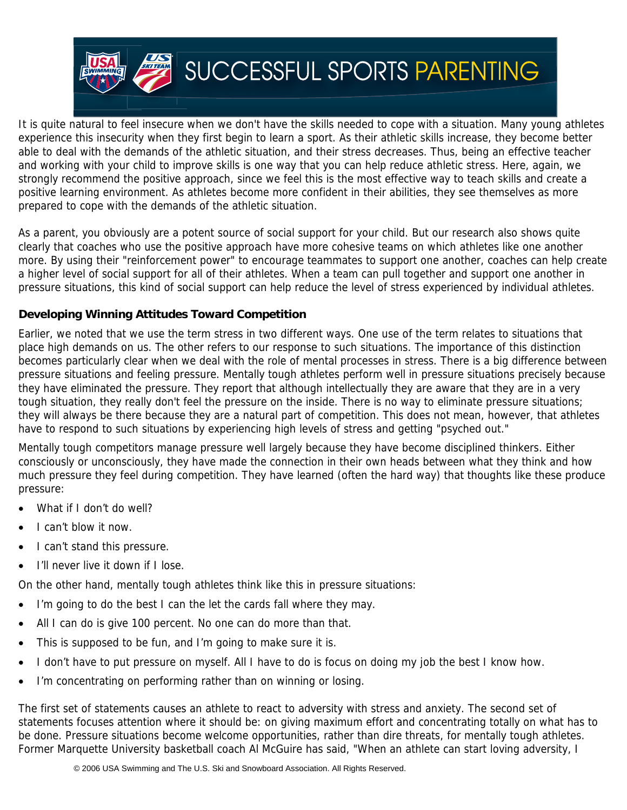

It is quite natural to feel insecure when we don't have the skills needed to cope with a situation. Many young athletes experience this insecurity when they first begin to learn a sport. As their athletic skills increase, they become better able to deal with the demands of the athletic situation, and their stress decreases. Thus, being an effective teacher and working with your child to improve skills is one way that you can help reduce athletic stress. Here, again, we strongly recommend the positive approach, since we feel this is the most effective way to teach skills and create a positive learning environment. As athletes become more confident in their abilities, they see themselves as more prepared to cope with the demands of the athletic situation.

As a parent, you obviously are a potent source of social support for your child. But our research also shows quite clearly that coaches who use the positive approach have more cohesive teams on which athletes like one another more. By using their "reinforcement power" to encourage teammates to support one another, coaches can help create a higher level of social support for all of their athletes. When a team can pull together and support one another in pressure situations, this kind of social support can help reduce the level of stress experienced by individual athletes.

## **Developing Winning Attitudes Toward Competition**

Earlier, we noted that we use the term stress in two different ways. One use of the term relates to situations that place high demands on us. The other refers to our response to such situations. The importance of this distinction becomes particularly clear when we deal with the role of mental processes in stress. There is a big difference between pressure situations and feeling pressure. Mentally tough athletes perform well in pressure situations precisely because they have eliminated the pressure. They report that although intellectually they are aware that they are in a very tough situation, they really don't feel the pressure on the inside. There is no way to eliminate pressure situations; they will always be there because they are a natural part of competition. This does not mean, however, that athletes have to respond to such situations by experiencing high levels of stress and getting "psyched out."

Mentally tough competitors manage pressure well largely because they have become disciplined thinkers. Either consciously or unconsciously, they have made the connection in their own heads between what they think and how much pressure they feel during competition. They have learned (often the hard way) that thoughts like these produce pressure:

- What if I don't do well?
- I can't blow it now.
- I can't stand this pressure.
- I'll never live it down if I lose.

On the other hand, mentally tough athletes think like this in pressure situations:

- I'm going to do the best I can the let the cards fall where they may.
- All I can do is give 100 percent. No one can do more than that.
- This is supposed to be fun, and I'm going to make sure it is.
- I don't have to put pressure on myself. All I have to do is focus on doing my job the best I know how.
- I'm concentrating on performing rather than on winning or losing.

The first set of statements causes an athlete to react to adversity with stress and anxiety. The second set of statements focuses attention where it should be: on giving maximum effort and concentrating totally on what has to be done. Pressure situations become welcome opportunities, rather than dire threats, for mentally tough athletes. Former Marquette University basketball coach Al McGuire has said, "When an athlete can start loving adversity, I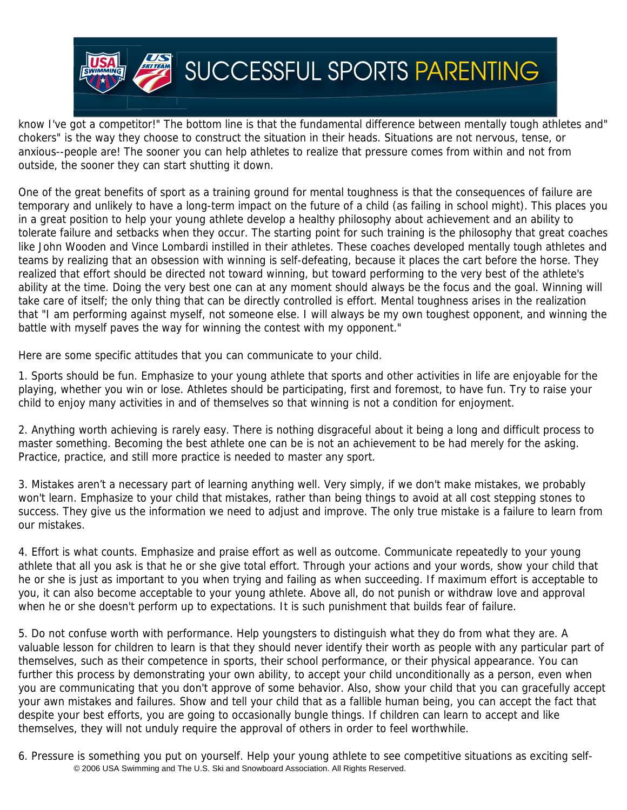

know I've got a competitor!" The bottom line is that the fundamental difference between mentally tough athletes and" chokers" is the way they choose to construct the situation in their heads. Situations are not nervous, tense, or anxious--people are! The sooner you can help athletes to realize that pressure comes from within and not from outside, the sooner they can start shutting it down.

One of the great benefits of sport as a training ground for mental toughness is that the consequences of failure are temporary and unlikely to have a long-term impact on the future of a child (as failing in school might). This places you in a great position to help your young athlete develop a healthy philosophy about achievement and an ability to tolerate failure and setbacks when they occur. The starting point for such training is the philosophy that great coaches like John Wooden and Vince Lombardi instilled in their athletes. These coaches developed mentally tough athletes and teams by realizing that an obsession with winning is self-defeating, because it places the cart before the horse. They realized that effort should be directed not toward winning, but toward performing to the very best of the athlete's ability at the time. Doing the very best one can at any moment should always be the focus and the goal. Winning will take care of itself; the only thing that can be directly controlled is effort. Mental toughness arises in the realization that "I am performing against myself, not someone else. I will always be my own toughest opponent, and winning the battle with myself paves the way for winning the contest with my opponent."

Here are some specific attitudes that you can communicate to your child.

1. Sports should be fun. Emphasize to your young athlete that sports and other activities in life are enjoyable for the playing, whether you win or lose. Athletes should be participating, first and foremost, to have fun. Try to raise your child to enjoy many activities in and of themselves so that winning is not a condition for enjoyment.

2. Anything worth achieving is rarely easy. There is nothing disgraceful about it being a long and difficult process to master something. Becoming the best athlete one can be is not an achievement to be had merely for the asking. Practice, practice, and still more practice is needed to master any sport.

3. Mistakes aren't a necessary part of learning anything well. Very simply, if we don't make mistakes, we probably won't learn. Emphasize to your child that mistakes, rather than being things to avoid at all cost stepping stones to success. They give us the information we need to adjust and improve. The only true mistake is a failure to learn from our mistakes.

4. Effort is what counts. Emphasize and praise effort as well as outcome. Communicate repeatedly to your young athlete that all you ask is that he or she give total effort. Through your actions and your words, show your child that he or she is just as important to you when trying and failing as when succeeding. If maximum effort is acceptable to you, it can also become acceptable to your young athlete. Above all, do not punish or withdraw love and approval when he or she doesn't perform up to expectations. It is such punishment that builds fear of failure.

5. Do not confuse worth with performance. Help youngsters to distinguish what they do from what they are. A valuable lesson for children to learn is that they should never identify their worth as people with any particular part of themselves, such as their competence in sports, their school performance, or their physical appearance. You can further this process by demonstrating your own ability, to accept your child unconditionally as a person, even when you are communicating that you don't approve of some behavior. Also, show your child that you can gracefully accept your awn mistakes and failures. Show and tell your child that as a fallible human being, you can accept the fact that despite your best efforts, you are going to occasionally bungle things. If children can learn to accept and like themselves, they will not unduly require the approval of others in order to feel worthwhile.

© 2006 USA Swimming and The U.S. Ski and Snowboard Association. All Rights Reserved. 6. Pressure is something you put on yourself. Help your young athlete to see competitive situations as exciting self-